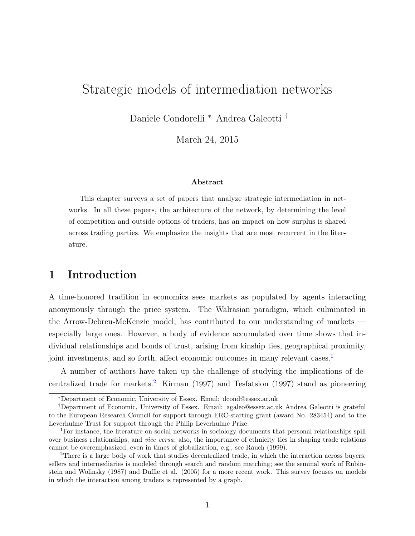# Strategic models of intermediation networks

Daniele Condorelli <sup>∗</sup> Andrea Galeotti †

March 24, 2015

#### Abstract

This chapter surveys a set of papers that analyze strategic intermediation in networks. In all these papers, the architecture of the network, by determining the level of competition and outside options of traders, has an impact on how surplus is shared across trading parties. We emphasize the insights that are most recurrent in the literature.

## 1 Introduction

A time-honored tradition in economics sees markets as populated by agents interacting anonymously through the price system. The Walrasian paradigm, which culminated in the Arrow-Debreu-McKenzie model, has contributed to our understanding of markets especially large ones. However, a body of evidence accumulated over time shows that individual relationships and bonds of trust, arising from kinship ties, geographical proximity, joint investments, and so forth, affect economic outcomes in many relevant cases.<sup>[1](#page-0-0)</sup>

A number of authors have taken up the challenge of studying the implications of de-centralized trade for markets.<sup>[2](#page-0-1)</sup> Kirman (1997) and Tesfatsion (1997) stand as pioneering

<sup>∗</sup>Department of Economic, University of Essex. Email: dcond@essex.ac.uk

<sup>†</sup>Department of Economic, University of Essex. Email: agaleo@essex.ac.uk Andrea Galeotti is grateful to the European Research Council for support through ERC-starting grant (award No. 283454) and to the Leverhulme Trust for support through the Philip Leverhulme Prize.

<span id="page-0-0"></span><sup>1</sup>For instance, the literature on social networks in sociology documents that personal relationships spill over business relationships, and vice versa; also, the importance of ethnicity ties in shaping trade relations cannot be overemphasized, even in times of globalization, e.g., see Rauch (1999).

<span id="page-0-1"></span><sup>&</sup>lt;sup>2</sup>There is a large body of work that studies decentralized trade, in which the interaction across buyers, sellers and intermediaries is modeled through search and random matching; see the seminal work of Rubinstein and Wolinsky (1987) and Duffie et al. (2005) for a more recent work. This survey focuses on models in which the interaction among traders is represented by a graph.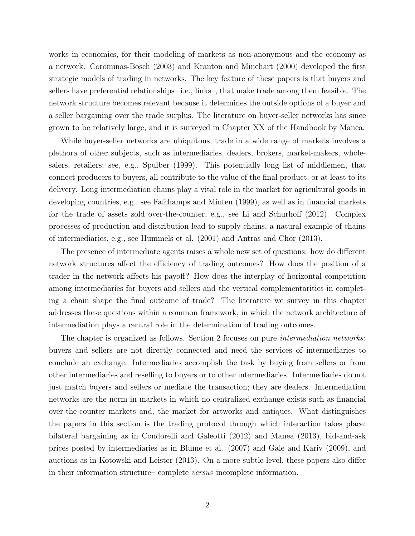works in economics, for their modeling of markets as non-anonymous and the economy as a network. Corominas-Bosch (2003) and Kranton and Minehart (2000) developed the first strategic models of trading in networks. The key feature of these papers is that buyers and sellers have preferential relationships– i.e., links–, that make trade among them feasible. The network structure becomes relevant because it determines the outside options of a buyer and a seller bargaining over the trade surplus. The literature on buyer-seller networks has since grown to be relatively large, and it is surveyed in Chapter XX of the Handbook by Manea.

While buyer-seller networks are ubiquitous, trade in a wide range of markets involves a plethora of other subjects, such as intermediaries, dealers, brokers, market-makers, wholesalers, retailers; see, e.g., Spulber (1999). This potentially long list of middlemen, that connect producers to buyers, all contribute to the value of the final product, or at least to its delivery. Long intermediation chains play a vital role in the market for agricultural goods in developing countries, e.g., see Fafchamps and Minten (1999), as well as in financial markets for the trade of assets sold over-the-counter, e.g., see Li and Schurhoff (2012). Complex processes of production and distribution lead to supply chains, a natural example of chains of intermediaries, e.g., see Hummels et al. (2001) and Antras and Chor (2013).

The presence of intermediate agents raises a whole new set of questions: how do different network structures affect the efficiency of trading outcomes? How does the position of a trader in the network affects his payoff? How does the interplay of horizontal competition among intermediaries for buyers and sellers and the vertical complementarities in completing a chain shape the final outcome of trade? The literature we survey in this chapter addresses these questions within a common framework, in which the network architecture of intermediation plays a central role in the determination of trading outcomes.

The chapter is organized as follows. Section 2 focuses on pure *intermediation networks*: buyers and sellers are not directly connected and need the services of intermediaries to conclude an exchange. Intermediaries accomplish the task by buying from sellers or from other intermediaries and reselling to buyers or to other intermediaries. Intermediaries do not just match buyers and sellers or mediate the transaction; they are dealers. Intermediation networks are the norm in markets in which no centralized exchange exists such as financial over-the-counter markets and, the market for artworks and antiques. What distinguishes the papers in this section is the trading protocol through which interaction takes place: bilateral bargaining as in Condorelli and Galeotti (2012) and Manea (2013), bid-and-ask prices posted by intermediaries as in Blume et al. (2007) and Gale and Kariv (2009), and auctions as in Kotowski and Leister (2013). On a more subtle level, these papers also differ in their information structure– complete versus incomplete information.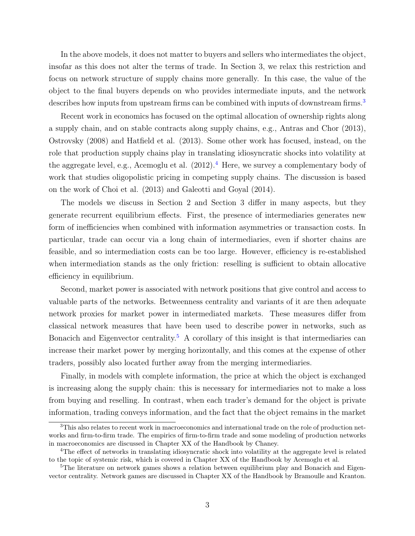In the above models, it does not matter to buyers and sellers who intermediates the object, insofar as this does not alter the terms of trade. In Section 3, we relax this restriction and focus on network structure of supply chains more generally. In this case, the value of the object to the final buyers depends on who provides intermediate inputs, and the network describes how inputs from upstream firms can be combined with inputs of downstream firms.<sup>[3](#page-2-0)</sup>

Recent work in economics has focused on the optimal allocation of ownership rights along a supply chain, and on stable contracts along supply chains, e.g., Antras and Chor (2013), Ostrovsky (2008) and Hatfield et al. (2013). Some other work has focused, instead, on the role that production supply chains play in translating idiosyncratic shocks into volatility at the aggregate level, e.g., Acemoglu et al.  $(2012)$ .<sup>[4](#page-2-1)</sup> Here, we survey a complementary body of work that studies oligopolistic pricing in competing supply chains. The discussion is based on the work of Choi et al. (2013) and Galeotti and Goyal (2014).

The models we discuss in Section 2 and Section 3 differ in many aspects, but they generate recurrent equilibrium effects. First, the presence of intermediaries generates new form of inefficiencies when combined with information asymmetries or transaction costs. In particular, trade can occur via a long chain of intermediaries, even if shorter chains are feasible, and so intermediation costs can be too large. However, efficiency is re-established when intermediation stands as the only friction: reselling is sufficient to obtain allocative efficiency in equilibrium.

Second, market power is associated with network positions that give control and access to valuable parts of the networks. Betweenness centrality and variants of it are then adequate network proxies for market power in intermediated markets. These measures differ from classical network measures that have been used to describe power in networks, such as Bonacich and Eigenvector centrality.<sup>[5](#page-2-2)</sup> A corollary of this insight is that intermediaries can increase their market power by merging horizontally, and this comes at the expense of other traders, possibly also located further away from the merging intermediaries.

Finally, in models with complete information, the price at which the object is exchanged is increasing along the supply chain: this is necessary for intermediaries not to make a loss from buying and reselling. In contrast, when each trader's demand for the object is private information, trading conveys information, and the fact that the object remains in the market

<span id="page-2-0"></span><sup>3</sup>This also relates to recent work in macroeconomics and international trade on the role of production networks and firm-to-firm trade. The empirics of firm-to-firm trade and some modeling of production networks in macroeconomics are discussed in Chapter XX of the Handbook by Chaney.

<span id="page-2-1"></span><sup>&</sup>lt;sup>4</sup>The effect of networks in translating idiosyncratic shock into volatility at the aggregate level is related to the topic of systemic risk, which is covered in Chapter XX of the Handbook by Acemoglu et al.

<span id="page-2-2"></span><sup>&</sup>lt;sup>5</sup>The literature on network games shows a relation between equilibrium play and Bonacich and Eigenvector centrality. Network games are discussed in Chapter XX of the Handbook by Bramoulle and Kranton.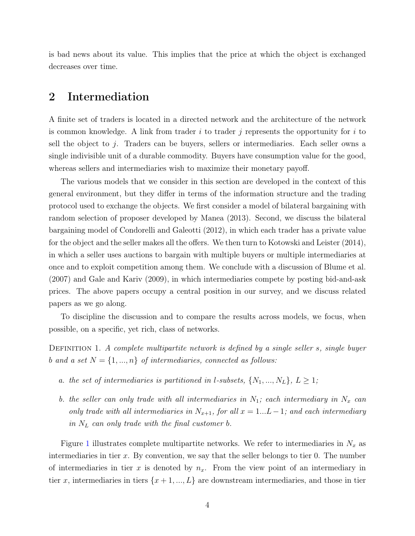is bad news about its value. This implies that the price at which the object is exchanged decreases over time.

## 2 Intermediation

A finite set of traders is located in a directed network and the architecture of the network is common knowledge. A link from trader  $i$  to trader  $j$  represents the opportunity for  $i$  to sell the object to  $i$ . Traders can be buyers, sellers or intermediaries. Each seller owns a single indivisible unit of a durable commodity. Buyers have consumption value for the good, whereas sellers and intermediaries wish to maximize their monetary payoff.

The various models that we consider in this section are developed in the context of this general environment, but they differ in terms of the information structure and the trading protocol used to exchange the objects. We first consider a model of bilateral bargaining with random selection of proposer developed by Manea (2013). Second, we discuss the bilateral bargaining model of Condorelli and Galeotti (2012), in which each trader has a private value for the object and the seller makes all the offers. We then turn to Kotowski and Leister (2014), in which a seller uses auctions to bargain with multiple buyers or multiple intermediaries at once and to exploit competition among them. We conclude with a discussion of Blume et al. (2007) and Gale and Kariv (2009), in which intermediaries compete by posting bid-and-ask prices. The above papers occupy a central position in our survey, and we discuss related papers as we go along.

To discipline the discussion and to compare the results across models, we focus, when possible, on a specific, yet rich, class of networks.

DEFINITION 1. A complete multipartite network is defined by a single seller s, single buyer b and a set  $N = \{1, ..., n\}$  of intermediaries, connected as follows:

- a. the set of intermediaries is partitioned in l-subsets,  $\{N_1, ..., N_L\}, L \geq 1$ ;
- b. the seller can only trade with all intermediaries in  $N_1$ ; each intermediary in  $N_x$  can only trade with all intermediaries in  $N_{x+1}$ , for all  $x = 1...L-1$ ; and each intermediary in  $N_L$  can only trade with the final customer b.

Figure [1](#page-4-0) illustrates complete multipartite networks. We refer to intermediaries in  $N_x$  as intermediaries in tier x. By convention, we say that the seller belongs to tier  $0$ . The number of intermediaries in tier x is denoted by  $n_x$ . From the view point of an intermediary in tier x, intermediaries in tiers  $\{x+1,...,L\}$  are downstream intermediaries, and those in tier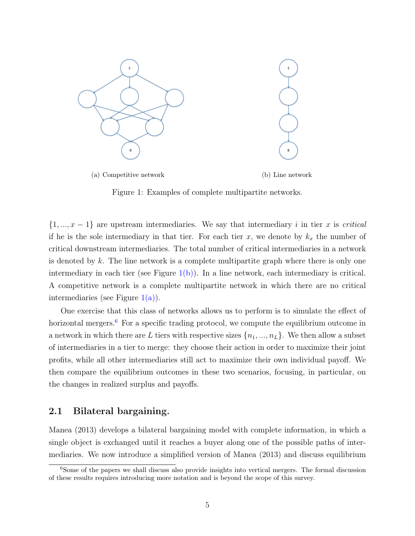<span id="page-4-2"></span>

<span id="page-4-1"></span><span id="page-4-0"></span>Figure 1: Examples of complete multipartite networks.

 $\{1, ..., x-1\}$  are upstream intermediaries. We say that intermediary *i* in tier x is critical if he is the sole intermediary in that tier. For each tier x, we denote by  $k_x$  the number of critical downstream intermediaries. The total number of critical intermediaries in a network is denoted by  $k$ . The line network is a complete multipartite graph where there is only one intermediary in each tier (see Figure  $1(b)$ ). In a line network, each intermediary is critical. A competitive network is a complete multipartite network in which there are no critical intermediaries (see Figure  $1(a)$ ).

One exercise that this class of networks allows us to perform is to simulate the effect of horizontal mergers.<sup>[6](#page-4-3)</sup> For a specific trading protocol, we compute the equilibrium outcome in a network in which there are L tiers with respective sizes  $\{n_1, ..., n_L\}$ . We then allow a subset of intermediaries in a tier to merge: they choose their action in order to maximize their joint profits, while all other intermediaries still act to maximize their own individual payoff. We then compare the equilibrium outcomes in these two scenarios, focusing, in particular, on the changes in realized surplus and payoffs.

### <span id="page-4-4"></span>2.1 Bilateral bargaining.

Manea (2013) develops a bilateral bargaining model with complete information, in which a single object is exchanged until it reaches a buyer along one of the possible paths of intermediaries. We now introduce a simplified version of Manea (2013) and discuss equilibrium

<span id="page-4-3"></span><sup>&</sup>lt;sup>6</sup>Some of the papers we shall discuss also provide insights into vertical mergers. The formal discussion of these results requires introducing more notation and is beyond the scope of this survey.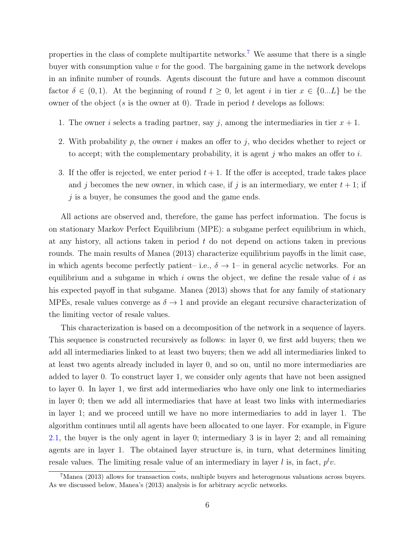properties in the class of complete multipartite networks.<sup>[7](#page-5-0)</sup> We assume that there is a single buyer with consumption value  $v$  for the good. The bargaining game in the network develops in an infinite number of rounds. Agents discount the future and have a common discount factor  $\delta \in (0,1)$ . At the beginning of round  $t \geq 0$ , let agent i in tier  $x \in \{0...L\}$  be the owner of the object (s is the owner at 0). Trade in period t develops as follows:

- 1. The owner i selects a trading partner, say j, among the intermediaries in tier  $x + 1$ .
- 2. With probability p, the owner i makes an offer to j, who decides whether to reject or to accept; with the complementary probability, it is agent  $j$  who makes an offer to  $i$ .
- 3. If the offer is rejected, we enter period  $t + 1$ . If the offer is accepted, trade takes place and j becomes the new owner, in which case, if j is an intermediary, we enter  $t + 1$ ; if  $j$  is a buyer, he consumes the good and the game ends.

All actions are observed and, therefore, the game has perfect information. The focus is on stationary Markov Perfect Equilibrium (MPE): a subgame perfect equilibrium in which, at any history, all actions taken in period  $t$  do not depend on actions taken in previous rounds. The main results of Manea (2013) characterize equilibrium payoffs in the limit case, in which agents become perfectly patient– i.e.,  $\delta \to 1$ – in general acyclic networks. For an equilibrium and a subgame in which i owns the object, we define the resale value of i as his expected payoff in that subgame. Manea (2013) shows that for any family of stationary MPEs, resale values converge as  $\delta \to 1$  and provide an elegant recursive characterization of the limiting vector of resale values.

This characterization is based on a decomposition of the network in a sequence of layers. This sequence is constructed recursively as follows: in layer 0, we first add buyers; then we add all intermediaries linked to at least two buyers; then we add all intermediaries linked to at least two agents already included in layer 0, and so on, until no more intermediaries are added to layer 0. To construct layer 1, we consider only agents that have not been assigned to layer 0. In layer 1, we first add intermediaries who have only one link to intermediaries in layer 0; then we add all intermediaries that have at least two links with intermediaries in layer 1; and we proceed untill we have no more intermediaries to add in layer 1. The algorithm continues until all agents have been allocated to one layer. For example, in Figure [2.1,](#page-6-0) the buyer is the only agent in layer 0; intermediary 3 is in layer 2; and all remaining agents are in layer 1. The obtained layer structure is, in turn, what determines limiting resale values. The limiting resale value of an intermediary in layer l is, in fact,  $p^l v$ .

<span id="page-5-0"></span> $7$ Manea (2013) allows for transaction costs, multiple buyers and heterogenous valuations across buyers. As we discussed below, Manea's (2013) analysis is for arbitrary acyclic networks.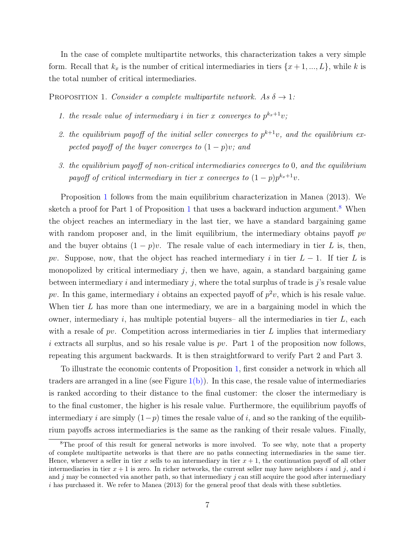In the case of complete multipartite networks, this characterization takes a very simple form. Recall that  $k_x$  is the number of critical intermediaries in tiers  $\{x+1, ..., L\}$ , while k is the total number of critical intermediaries.

<span id="page-6-0"></span>PROPOSITION 1. Consider a complete multipartite network. As  $\delta \rightarrow 1$ :

- 1. the resale value of intermediary i in tier x converges to  $p^{k_x+1}v$ ;
- 2. the equilibrium payoff of the initial seller converges to  $p^{k+1}v$ , and the equilibrium expected payoff of the buyer converges to  $(1-p)v$ ; and
- 3. the equilibrium payoff of non-critical intermediaries converges to 0, and the equilibrium payoff of critical intermediary in tier x converges to  $(1-p)p^{k_x+1}v$ .

Proposition [1](#page-6-0) follows from the main equilibrium characterization in Manea (2013). We sketch a proof for Part [1](#page-6-0) of Proposition 1 that uses a backward induction argument.<sup>[8](#page-6-1)</sup> When the object reaches an intermediary in the last tier, we have a standard bargaining game with random proposer and, in the limit equilibrium, the intermediary obtains payoff  $pv$ and the buyer obtains  $(1 - p)v$ . The resale value of each intermediary in tier L is, then, pv. Suppose, now, that the object has reached intermediary i in tier  $L-1$ . If tier L is monopolized by critical intermediary  $j$ , then we have, again, a standard bargaining game between intermediary i and intermediary j, where the total surplus of trade is j's resale value pv. In this game, intermediary i obtains an expected payoff of  $p^2v$ , which is his resale value. When tier  $L$  has more than one intermediary, we are in a bargaining model in which the owner, intermediary i, has multiple potential buyers– all the intermediaries in tier  $L$ , each with a resale of pv. Competition across intermediaries in tier  $L$  implies that intermediary i extracts all surplus, and so his resale value is  $pv$ . Part 1 of the proposition now follows, repeating this argument backwards. It is then straightforward to verify Part 2 and Part 3.

To illustrate the economic contents of Proposition [1,](#page-6-0) first consider a network in which all traders are arranged in a line (see Figure  $1(b)$ ). In this case, the resale value of intermediaries is ranked according to their distance to the final customer: the closer the intermediary is to the final customer, the higher is his resale value. Furthermore, the equilibrium payoffs of intermediary i are simply  $(1-p)$  times the resale value of i, and so the ranking of the equilibrium payoffs across intermediaries is the same as the ranking of their resale values. Finally,

<span id="page-6-1"></span><sup>&</sup>lt;sup>8</sup>The proof of this result for general networks is more involved. To see why, note that a property of complete multipartite networks is that there are no paths connecting intermediaries in the same tier. Hence, whenever a seller in tier x sells to an intermediary in tier  $x + 1$ , the continuation payoff of all other intermediaries in tier  $x + 1$  is zero. In richer networks, the current seller may have neighbors i and j, and i and j may be connected via another path, so that intermediary j can still acquire the good after intermediary i has purchased it. We refer to Manea (2013) for the general proof that deals with these subtleties.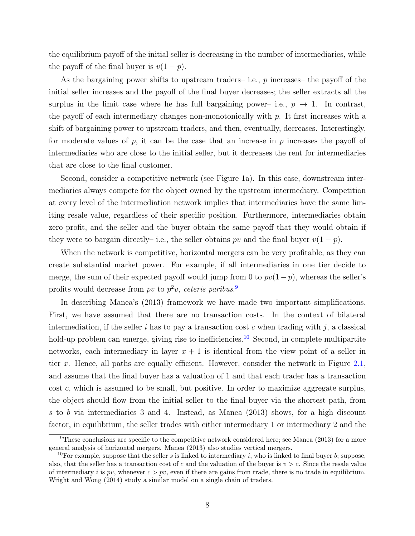the equilibrium payoff of the initial seller is decreasing in the number of intermediaries, while the payoff of the final buyer is  $v(1-p)$ .

As the bargaining power shifts to upstream traders– i.e.,  $p$  increases– the payoff of the initial seller increases and the payoff of the final buyer decreases; the seller extracts all the surplus in the limit case where he has full bargaining power– i.e.,  $p \rightarrow 1$ . In contrast, the payoff of each intermediary changes non-monotonically with  $p$ . It first increases with a shift of bargaining power to upstream traders, and then, eventually, decreases. Interestingly, for moderate values of  $p$ , it can be the case that an increase in  $p$  increases the payoff of intermediaries who are close to the initial seller, but it decreases the rent for intermediaries that are close to the final customer.

Second, consider a competitive network (see Figure 1a). In this case, downstream intermediaries always compete for the object owned by the upstream intermediary. Competition at every level of the intermediation network implies that intermediaries have the same limiting resale value, regardless of their specific position. Furthermore, intermediaries obtain zero profit, and the seller and the buyer obtain the same payoff that they would obtain if they were to bargain directly– i.e., the seller obtains pv and the final buyer  $v(1 - p)$ .

When the network is competitive, horizontal mergers can be very profitable, as they can create substantial market power. For example, if all intermediaries in one tier decide to merge, the sum of their expected payoff would jump from 0 to  $pv(1-p)$ , whereas the seller's profits would decrease from pv to  $p^2v$ , ceteris paribus.<sup>[9](#page-7-0)</sup>

In describing Manea's (2013) framework we have made two important simplifications. First, we have assumed that there are no transaction costs. In the context of bilateral intermediation, if the seller i has to pay a transaction cost c when trading with j, a classical hold-up problem can emerge, giving rise to inefficiencies.<sup>[10](#page-7-1)</sup> Second, in complete multipartite networks, each intermediary in layer  $x + 1$  is identical from the view point of a seller in tier x. Hence, all paths are equally efficient. However, consider the network in Figure [2.1,](#page-6-0) and assume that the final buyer has a valuation of 1 and that each trader has a transaction cost c, which is assumed to be small, but positive. In order to maximize aggregate surplus, the object should flow from the initial seller to the final buyer via the shortest path, from s to b via intermediaries 3 and 4. Instead, as Manea (2013) shows, for a high discount factor, in equilibrium, the seller trades with either intermediary 1 or intermediary 2 and the

<span id="page-7-0"></span><sup>&</sup>lt;sup>9</sup>These conclusions are specific to the competitive network considered here; see Manea (2013) for a more general analysis of horizontal mergers. Manea (2013) also studies vertical mergers.

<span id="page-7-1"></span><sup>&</sup>lt;sup>10</sup>For example, suppose that the seller s is linked to intermediary i, who is linked to final buyer b; suppose, also, that the seller has a transaction cost of c and the valuation of the buyer is  $v > c$ . Since the resale value of intermediary i is pv, whenever  $c > pv$ , even if there are gains from trade, there is no trade in equilibrium. Wright and Wong (2014) study a similar model on a single chain of traders.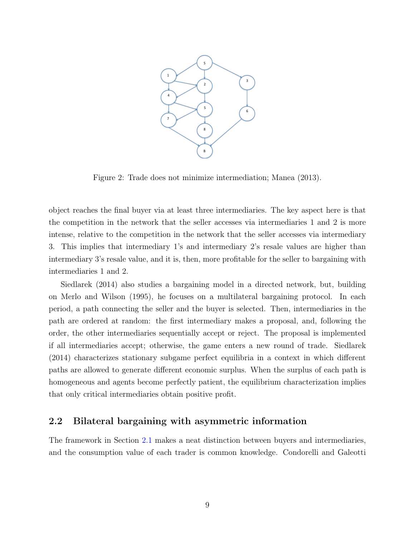

Figure 2: Trade does not minimize intermediation; Manea (2013).

object reaches the final buyer via at least three intermediaries. The key aspect here is that the competition in the network that the seller accesses via intermediaries 1 and 2 is more intense, relative to the competition in the network that the seller accesses via intermediary 3. This implies that intermediary 1's and intermediary 2's resale values are higher than intermediary 3's resale value, and it is, then, more profitable for the seller to bargaining with intermediaries 1 and 2.

Siedlarek (2014) also studies a bargaining model in a directed network, but, building on Merlo and Wilson (1995), he focuses on a multilateral bargaining protocol. In each period, a path connecting the seller and the buyer is selected. Then, intermediaries in the path are ordered at random: the first intermediary makes a proposal, and, following the order, the other intermediaries sequentially accept or reject. The proposal is implemented if all intermediaries accept; otherwise, the game enters a new round of trade. Siedlarek (2014) characterizes stationary subgame perfect equilibria in a context in which different paths are allowed to generate different economic surplus. When the surplus of each path is homogeneous and agents become perfectly patient, the equilibrium characterization implies that only critical intermediaries obtain positive profit.

### 2.2 Bilateral bargaining with asymmetric information

The framework in Section [2.1](#page-4-4) makes a neat distinction between buyers and intermediaries, and the consumption value of each trader is common knowledge. Condorelli and Galeotti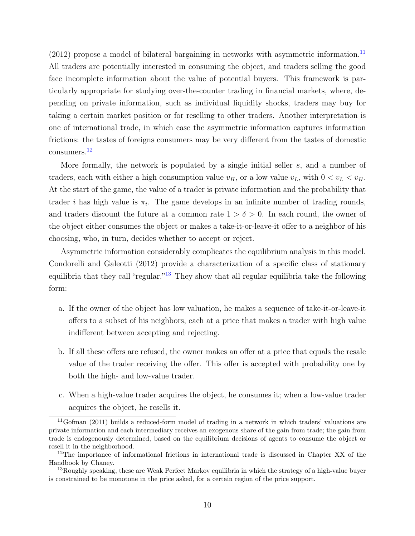$(2012)$  propose a model of bilateral bargaining in networks with asymmetric information.<sup>[11](#page-9-0)</sup> All traders are potentially interested in consuming the object, and traders selling the good face incomplete information about the value of potential buyers. This framework is particularly appropriate for studying over-the-counter trading in financial markets, where, depending on private information, such as individual liquidity shocks, traders may buy for taking a certain market position or for reselling to other traders. Another interpretation is one of international trade, in which case the asymmetric information captures information frictions: the tastes of foreigns consumers may be very different from the tastes of domestic consumers.[12](#page-9-1)

More formally, the network is populated by a single initial seller s, and a number of traders, each with either a high consumption value  $v_H$ , or a low value  $v_L$ , with  $0 < v_L < v_H$ . At the start of the game, the value of a trader is private information and the probability that trader *i* has high value is  $\pi_i$ . The game develops in an infinite number of trading rounds, and traders discount the future at a common rate  $1 > \delta > 0$ . In each round, the owner of the object either consumes the object or makes a take-it-or-leave-it offer to a neighbor of his choosing, who, in turn, decides whether to accept or reject.

Asymmetric information considerably complicates the equilibrium analysis in this model. Condorelli and Galeotti (2012) provide a characterization of a specific class of stationary equilibria that they call "regular."<sup>[13](#page-9-2)</sup> They show that all regular equilibria take the following form:

- a. If the owner of the object has low valuation, he makes a sequence of take-it-or-leave-it offers to a subset of his neighbors, each at a price that makes a trader with high value indifferent between accepting and rejecting.
- b. If all these offers are refused, the owner makes an offer at a price that equals the resale value of the trader receiving the offer. This offer is accepted with probability one by both the high- and low-value trader.
- c. When a high-value trader acquires the object, he consumes it; when a low-value trader acquires the object, he resells it.

<span id="page-9-0"></span> $11$ Gofman (2011) builds a reduced-form model of trading in a network in which traders' valuations are private information and each intermediary receives an exogenous share of the gain from trade; the gain from trade is endogenously determined, based on the equilibrium decisions of agents to consume the object or resell it in the neighborhood.

<span id="page-9-1"></span> $12$ The importance of informational frictions in international trade is discussed in Chapter XX of the Handbook by Chaney.

<span id="page-9-2"></span><sup>&</sup>lt;sup>13</sup>Roughly speaking, these are Weak Perfect Markov equilibria in which the strategy of a high-value buyer is constrained to be monotone in the price asked, for a certain region of the price support.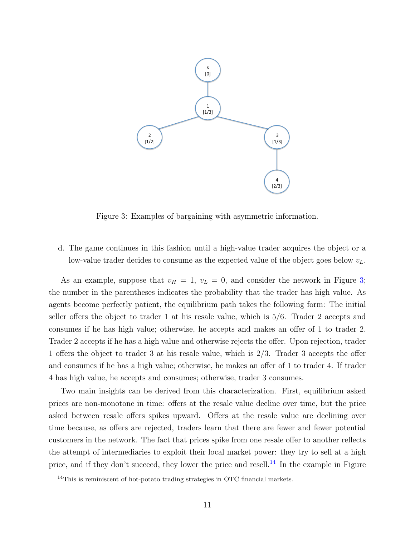

<span id="page-10-0"></span>Figure 3: Examples of bargaining with asymmetric information.

### d. The game continues in this fashion until a high-value trader acquires the object or a low-value trader decides to consume as the expected value of the object goes below  $v_L$ .

As an example, suppose that  $v_H = 1$ ,  $v_L = 0$ , and consider the network in Figure [3;](#page-10-0) the number in the parentheses indicates the probability that the trader has high value. As agents become perfectly patient, the equilibrium path takes the following form: The initial seller offers the object to trader 1 at his resale value, which is 5/6. Trader 2 accepts and consumes if he has high value; otherwise, he accepts and makes an offer of 1 to trader 2. Trader 2 accepts if he has a high value and otherwise rejects the offer. Upon rejection, trader 1 offers the object to trader 3 at his resale value, which is 2/3. Trader 3 accepts the offer and consumes if he has a high value; otherwise, he makes an offer of 1 to trader 4. If trader 4 has high value, he accepts and consumes; otherwise, trader 3 consumes.

Two main insights can be derived from this characterization. First, equilibrium asked prices are non-monotone in time: offers at the resale value decline over time, but the price asked between resale offers spikes upward. Offers at the resale value are declining over time because, as offers are rejected, traders learn that there are fewer and fewer potential customers in the network. The fact that prices spike from one resale offer to another reflects the attempt of intermediaries to exploit their local market power: they try to sell at a high price, and if they don't succeed, they lower the price and resell.<sup>[14](#page-10-1)</sup> In the example in Figure

<span id="page-10-1"></span><sup>&</sup>lt;sup>14</sup>This is reminiscent of hot-potato trading strategies in OTC financial markets.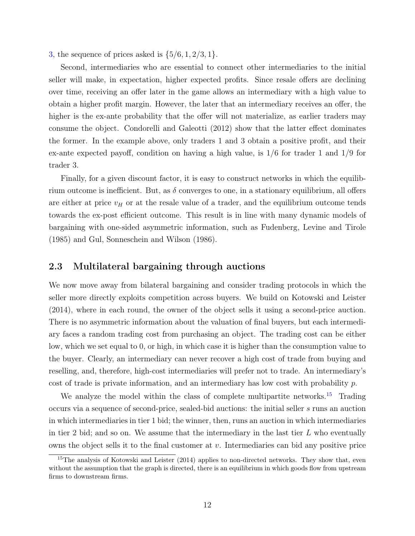[3,](#page-10-0) the sequence of prices asked is  $\{5/6, 1, 2/3, 1\}$ .

Second, intermediaries who are essential to connect other intermediaries to the initial seller will make, in expectation, higher expected profits. Since resale offers are declining over time, receiving an offer later in the game allows an intermediary with a high value to obtain a higher profit margin. However, the later that an intermediary receives an offer, the higher is the ex-ante probability that the offer will not materialize, as earlier traders may consume the object. Condorelli and Galeotti (2012) show that the latter effect dominates the former. In the example above, only traders 1 and 3 obtain a positive profit, and their ex-ante expected payoff, condition on having a high value, is 1/6 for trader 1 and 1/9 for trader 3.

Finally, for a given discount factor, it is easy to construct networks in which the equilibrium outcome is inefficient. But, as  $\delta$  converges to one, in a stationary equilibrium, all offers are either at price  $v_H$  or at the resale value of a trader, and the equilibrium outcome tends towards the ex-post efficient outcome. This result is in line with many dynamic models of bargaining with one-sided asymmetric information, such as Fudenberg, Levine and Tirole (1985) and Gul, Sonneschein and Wilson (1986).

#### 2.3 Multilateral bargaining through auctions

We now move away from bilateral bargaining and consider trading protocols in which the seller more directly exploits competition across buyers. We build on Kotowski and Leister (2014), where in each round, the owner of the object sells it using a second-price auction. There is no asymmetric information about the valuation of final buyers, but each intermediary faces a random trading cost from purchasing an object. The trading cost can be either low, which we set equal to 0, or high, in which case it is higher than the consumption value to the buyer. Clearly, an intermediary can never recover a high cost of trade from buying and reselling, and, therefore, high-cost intermediaries will prefer not to trade. An intermediary's cost of trade is private information, and an intermediary has low cost with probability p.

We analyze the model within the class of complete multipartite networks.<sup>[15](#page-11-0)</sup> Trading occurs via a sequence of second-price, sealed-bid auctions: the initial seller s runs an auction in which intermediaries in tier 1 bid; the winner, then, runs an auction in which intermediaries in tier 2 bid; and so on. We assume that the intermediary in the last tier  $L$  who eventually owns the object sells it to the final customer at v. Intermediaries can bid any positive price

<span id="page-11-0"></span><sup>&</sup>lt;sup>15</sup>The analysis of Kotowski and Leister (2014) applies to non-directed networks. They show that, even without the assumption that the graph is directed, there is an equilibrium in which goods flow from upstream firms to downstream firms.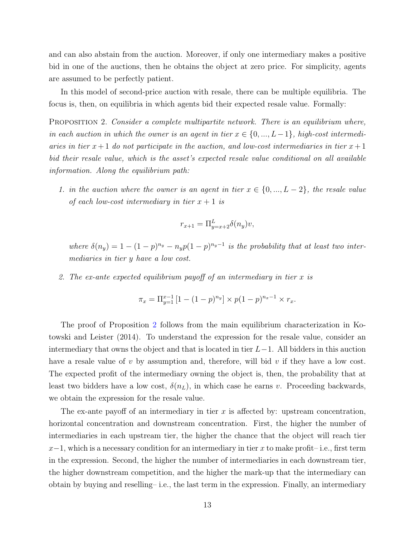and can also abstain from the auction. Moreover, if only one intermediary makes a positive bid in one of the auctions, then he obtains the object at zero price. For simplicity, agents are assumed to be perfectly patient.

In this model of second-price auction with resale, there can be multiple equilibria. The focus is, then, on equilibria in which agents bid their expected resale value. Formally:

<span id="page-12-0"></span>PROPOSITION 2. Consider a complete multipartite network. There is an equilibrium where, in each auction in which the owner is an agent in tier  $x \in \{0, ..., L-1\}$ , high-cost intermediaries in tier  $x+1$  do not participate in the auction, and low-cost intermediaries in tier  $x+1$ bid their resale value, which is the asset's expected resale value conditional on all available information. Along the equilibrium path:

1. in the auction where the owner is an agent in tier  $x \in \{0, ..., L-2\}$ , the resale value of each low-cost intermediary in tier  $x + 1$  is

$$
r_{x+1} = \Pi_{y=x+2}^L \delta(n_y) v,
$$

where  $\delta(n_y) = 1 - (1 - p)^{n_y} - n_y p (1 - p)^{n_y - 1}$  is the probability that at least two intermediaries in tier y have a low cost.

2. The ex-ante expected equilibrium payoff of an intermediary in tier x is

$$
\pi_x = \Pi_{y=1}^{x-1} \left[ 1 - (1-p)^{n_y} \right] \times p(1-p)^{n_x-1} \times r_x.
$$

The proof of Proposition [2](#page-12-0) follows from the main equilibrium characterization in Kotowski and Leister (2014). To understand the expression for the resale value, consider an intermediary that owns the object and that is located in tier  $L-1$ . All bidders in this auction have a resale value of v by assumption and, therefore, will bid v if they have a low cost. The expected profit of the intermediary owning the object is, then, the probability that at least two bidders have a low cost,  $\delta(n_L)$ , in which case he earns v. Proceeding backwards, we obtain the expression for the resale value.

The ex-ante payoff of an intermediary in tier  $x$  is affected by: upstream concentration, horizontal concentration and downstream concentration. First, the higher the number of intermediaries in each upstream tier, the higher the chance that the object will reach tier  $x-1$ , which is a necessary condition for an intermediary in tier x to make profit– i.e., first term in the expression. Second, the higher the number of intermediaries in each downstream tier, the higher downstream competition, and the higher the mark-up that the intermediary can obtain by buying and reselling– i.e., the last term in the expression. Finally, an intermediary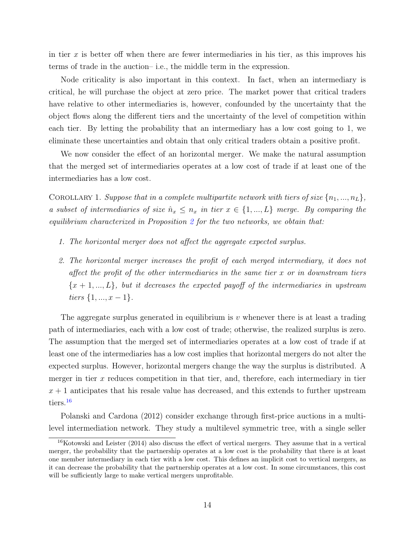in tier x is better off when there are fewer intermediaries in his tier, as this improves his terms of trade in the auction– i.e., the middle term in the expression.

Node criticality is also important in this context. In fact, when an intermediary is critical, he will purchase the object at zero price. The market power that critical traders have relative to other intermediaries is, however, confounded by the uncertainty that the object flows along the different tiers and the uncertainty of the level of competition within each tier. By letting the probability that an intermediary has a low cost going to 1, we eliminate these uncertainties and obtain that only critical traders obtain a positive profit.

We now consider the effect of an horizontal merger. We make the natural assumption that the merged set of intermediaries operates at a low cost of trade if at least one of the intermediaries has a low cost.

COROLLARY 1. Suppose that in a complete multipartite network with tiers of size  $\{n_1, ..., n_L\}$ , a subset of intermediaries of size  $\hat{n}_x \leq n_x$  in tier  $x \in \{1, ..., L\}$  merge. By comparing the equilibrium characterized in Proposition [2](#page-12-0) for the two networks, we obtain that:

- 1. The horizontal merger does not affect the aggregate expected surplus.
- 2. The horizontal merger increases the profit of each merged intermediary, it does not affect the profit of the other intermediaries in the same tier x or in downstream tiers  ${x + 1, ..., L}$ , but it decreases the expected payoff of the intermediaries in upstream tiers  $\{1, ..., x-1\}.$

The aggregate surplus generated in equilibrium is  $v$  whenever there is at least a trading path of intermediaries, each with a low cost of trade; otherwise, the realized surplus is zero. The assumption that the merged set of intermediaries operates at a low cost of trade if at least one of the intermediaries has a low cost implies that horizontal mergers do not alter the expected surplus. However, horizontal mergers change the way the surplus is distributed. A merger in tier  $x$  reduces competition in that tier, and, therefore, each intermediary in tier  $x + 1$  anticipates that his resale value has decreased, and this extends to further upstream tiers.<sup>[16](#page-13-0)</sup>

Polanski and Cardona (2012) consider exchange through first-price auctions in a multilevel intermediation network. They study a multilevel symmetric tree, with a single seller

<span id="page-13-0"></span> $16$ Kotowski and Leister (2014) also discuss the effect of vertical mergers. They assume that in a vertical merger, the probability that the partnership operates at a low cost is the probability that there is at least one member intermediary in each tier with a low cost. This defines an implicit cost to vertical mergers, as it can decrease the probability that the partnership operates at a low cost. In some circumstances, this cost will be sufficiently large to make vertical mergers unprofitable.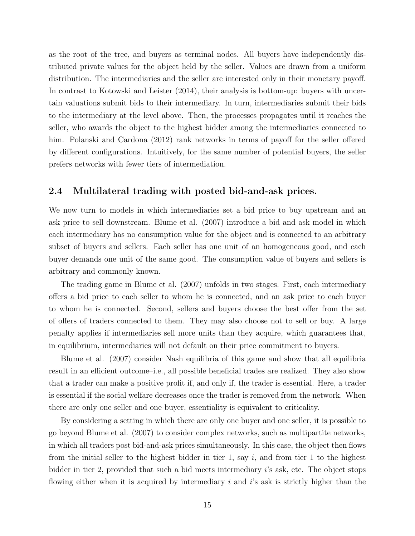as the root of the tree, and buyers as terminal nodes. All buyers have independently distributed private values for the object held by the seller. Values are drawn from a uniform distribution. The intermediaries and the seller are interested only in their monetary payoff. In contrast to Kotowski and Leister (2014), their analysis is bottom-up: buyers with uncertain valuations submit bids to their intermediary. In turn, intermediaries submit their bids to the intermediary at the level above. Then, the processes propagates until it reaches the seller, who awards the object to the highest bidder among the intermediaries connected to him. Polanski and Cardona (2012) rank networks in terms of payoff for the seller offered by different configurations. Intuitively, for the same number of potential buyers, the seller prefers networks with fewer tiers of intermediation.

### 2.4 Multilateral trading with posted bid-and-ask prices.

We now turn to models in which intermediaries set a bid price to buy upstream and an ask price to sell downstream. Blume et al. (2007) introduce a bid and ask model in which each intermediary has no consumption value for the object and is connected to an arbitrary subset of buyers and sellers. Each seller has one unit of an homogeneous good, and each buyer demands one unit of the same good. The consumption value of buyers and sellers is arbitrary and commonly known.

The trading game in Blume et al. (2007) unfolds in two stages. First, each intermediary offers a bid price to each seller to whom he is connected, and an ask price to each buyer to whom he is connected. Second, sellers and buyers choose the best offer from the set of offers of traders connected to them. They may also choose not to sell or buy. A large penalty applies if intermediaries sell more units than they acquire, which guarantees that, in equilibrium, intermediaries will not default on their price commitment to buyers.

Blume et al. (2007) consider Nash equilibria of this game and show that all equilibria result in an efficient outcome–i.e., all possible beneficial trades are realized. They also show that a trader can make a positive profit if, and only if, the trader is essential. Here, a trader is essential if the social welfare decreases once the trader is removed from the network. When there are only one seller and one buyer, essentiality is equivalent to criticality.

By considering a setting in which there are only one buyer and one seller, it is possible to go beyond Blume et al. (2007) to consider complex networks, such as multipartite networks, in which all traders post bid-and-ask prices simultaneously. In this case, the object then flows from the initial seller to the highest bidder in tier 1, say  $i$ , and from tier 1 to the highest bidder in tier 2, provided that such a bid meets intermediary i's ask, etc. The object stops flowing either when it is acquired by intermediary  $i$  and  $i$ 's ask is strictly higher than the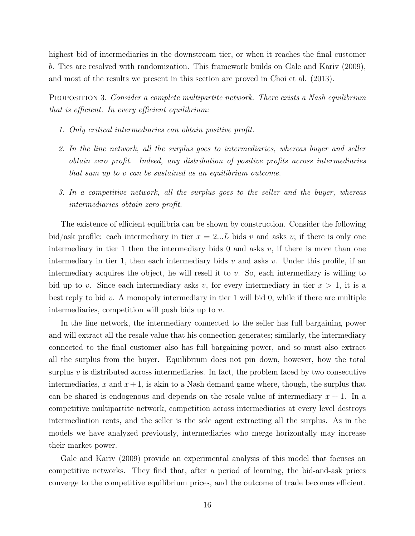highest bid of intermediaries in the downstream tier, or when it reaches the final customer b. Ties are resolved with randomization. This framework builds on Gale and Kariv (2009), and most of the results we present in this section are proved in Choi et al. (2013).

PROPOSITION 3. Consider a complete multipartite network. There exists a Nash equilibrium that is efficient. In every efficient equilibrium:

- 1. Only critical intermediaries can obtain positive profit.
- 2. In the line network, all the surplus goes to intermediaries, whereas buyer and seller obtain zero profit. Indeed, any distribution of positive profits across intermediaries that sum up to v can be sustained as an equilibrium outcome.
- 3. In a competitive network, all the surplus goes to the seller and the buyer, whereas intermediaries obtain zero profit.

The existence of efficient equilibria can be shown by construction. Consider the following bid/ask profile: each intermediary in tier  $x = 2...L$  bids v and asks v; if there is only one intermediary in tier 1 then the intermediary bids 0 and asks  $v$ , if there is more than one intermediary in tier 1, then each intermediary bids v and asks v. Under this profile, if an intermediary acquires the object, he will resell it to  $v$ . So, each intermediary is willing to bid up to v. Since each intermediary asks v, for every intermediary in tier  $x > 1$ , it is a best reply to bid  $v$ . A monopoly intermediary in tier 1 will bid 0, while if there are multiple intermediaries, competition will push bids up to  $v$ .

In the line network, the intermediary connected to the seller has full bargaining power and will extract all the resale value that his connection generates; similarly, the intermediary connected to the final customer also has full bargaining power, and so must also extract all the surplus from the buyer. Equilibrium does not pin down, however, how the total surplus  $v$  is distributed across intermediaries. In fact, the problem faced by two consecutive intermediaries, x and  $x + 1$ , is akin to a Nash demand game where, though, the surplus that can be shared is endogenous and depends on the resale value of intermediary  $x + 1$ . In a competitive multipartite network, competition across intermediaries at every level destroys intermediation rents, and the seller is the sole agent extracting all the surplus. As in the models we have analyzed previously, intermediaries who merge horizontally may increase their market power.

Gale and Kariv (2009) provide an experimental analysis of this model that focuses on competitive networks. They find that, after a period of learning, the bid-and-ask prices converge to the competitive equilibrium prices, and the outcome of trade becomes efficient.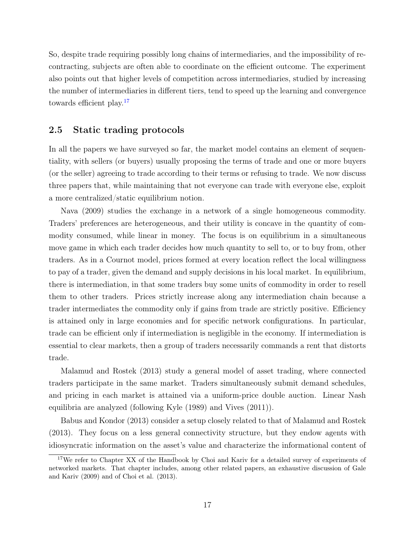So, despite trade requiring possibly long chains of intermediaries, and the impossibility of recontracting, subjects are often able to coordinate on the efficient outcome. The experiment also points out that higher levels of competition across intermediaries, studied by increasing the number of intermediaries in different tiers, tend to speed up the learning and convergence towards efficient play.[17](#page-16-0)

### 2.5 Static trading protocols

In all the papers we have surveyed so far, the market model contains an element of sequentiality, with sellers (or buyers) usually proposing the terms of trade and one or more buyers (or the seller) agreeing to trade according to their terms or refusing to trade. We now discuss three papers that, while maintaining that not everyone can trade with everyone else, exploit a more centralized/static equilibrium notion.

Nava (2009) studies the exchange in a network of a single homogeneous commodity. Traders' preferences are heterogeneous, and their utility is concave in the quantity of commodity consumed, while linear in money. The focus is on equilibrium in a simultaneous move game in which each trader decides how much quantity to sell to, or to buy from, other traders. As in a Cournot model, prices formed at every location reflect the local willingness to pay of a trader, given the demand and supply decisions in his local market. In equilibrium, there is intermediation, in that some traders buy some units of commodity in order to resell them to other traders. Prices strictly increase along any intermediation chain because a trader intermediates the commodity only if gains from trade are strictly positive. Efficiency is attained only in large economies and for specific network configurations. In particular, trade can be efficient only if intermediation is negligible in the economy. If intermediation is essential to clear markets, then a group of traders necessarily commands a rent that distorts trade.

Malamud and Rostek (2013) study a general model of asset trading, where connected traders participate in the same market. Traders simultaneously submit demand schedules, and pricing in each market is attained via a uniform-price double auction. Linear Nash equilibria are analyzed (following Kyle (1989) and Vives (2011)).

Babus and Kondor (2013) consider a setup closely related to that of Malamud and Rostek (2013). They focus on a less general connectivity structure, but they endow agents with idiosyncratic information on the asset's value and characterize the informational content of

<span id="page-16-0"></span><sup>&</sup>lt;sup>17</sup>We refer to Chapter XX of the Handbook by Choi and Kariv for a detailed survey of experiments of networked markets. That chapter includes, among other related papers, an exhaustive discussion of Gale and Kariv (2009) and of Choi et al. (2013).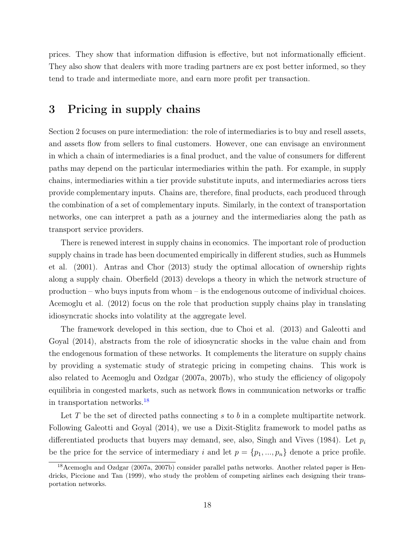prices. They show that information diffusion is effective, but not informationally efficient. They also show that dealers with more trading partners are ex post better informed, so they tend to trade and intermediate more, and earn more profit per transaction.

## 3 Pricing in supply chains

Section 2 focuses on pure intermediation: the role of intermediaries is to buy and resell assets, and assets flow from sellers to final customers. However, one can envisage an environment in which a chain of intermediaries is a final product, and the value of consumers for different paths may depend on the particular intermediaries within the path. For example, in supply chains, intermediaries within a tier provide substitute inputs, and intermediaries across tiers provide complementary inputs. Chains are, therefore, final products, each produced through the combination of a set of complementary inputs. Similarly, in the context of transportation networks, one can interpret a path as a journey and the intermediaries along the path as transport service providers.

There is renewed interest in supply chains in economics. The important role of production supply chains in trade has been documented empirically in different studies, such as Hummels et al. (2001). Antras and Chor (2013) study the optimal allocation of ownership rights along a supply chain. Oberfield (2013) develops a theory in which the network structure of production – who buys inputs from whom – is the endogenous outcome of individual choices. Acemoglu et al. (2012) focus on the role that production supply chains play in translating idiosyncratic shocks into volatility at the aggregate level.

The framework developed in this section, due to Choi et al. (2013) and Galeotti and Goyal (2014), abstracts from the role of idiosyncratic shocks in the value chain and from the endogenous formation of these networks. It complements the literature on supply chains by providing a systematic study of strategic pricing in competing chains. This work is also related to Acemoglu and Ozdgar (2007a, 2007b), who study the efficiency of oligopoly equilibria in congested markets, such as network flows in communication networks or traffic in transportation networks.[18](#page-17-0)

Let T be the set of directed paths connecting s to b in a complete multipartite network. Following Galeotti and Goyal (2014), we use a Dixit-Stiglitz framework to model paths as differentiated products that buyers may demand, see, also, Singh and Vives (1984). Let  $p_i$ be the price for the service of intermediary i and let  $p = \{p_1, ..., p_n\}$  denote a price profile.

<span id="page-17-0"></span><sup>18</sup>Acemoglu and Ozdgar (2007a, 2007b) consider parallel paths networks. Another related paper is Hendricks, Piccione and Tan (1999), who study the problem of competing airlines each designing their transportation networks.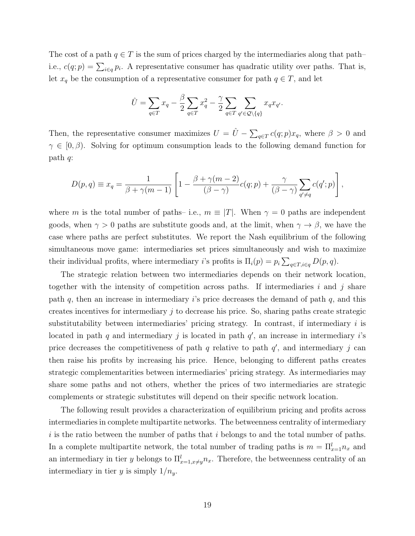The cost of a path  $q \in T$  is the sum of prices charged by the intermediaries along that path– i.e.,  $c(q; p) = \sum_{i \in q} p_i$ . A representative consumer has quadratic utility over paths. That is, let  $x_q$  be the consumption of a representative consumer for path  $q \in T$ , and let

$$
\hat{U} = \sum_{q \in T} x_q - \frac{\beta}{2} \sum_{q \in T} x_q^2 - \frac{\gamma}{2} \sum_{q \in T} \sum_{q' \in \mathcal{Q} \backslash \{q\}} x_q x_{q'}.
$$

Then, the representative consumer maximizes  $U = \hat{U} - \sum_{q \in T} c(q; p)x_q$ , where  $\beta > 0$  and  $\gamma \in [0,\beta)$ . Solving for optimum consumption leads to the following demand function for path  $q$ :

$$
D(p,q) \equiv x_q = \frac{1}{\beta + \gamma(m-1)} \left[ 1 - \frac{\beta + \gamma(m-2)}{(\beta - \gamma)} c(q;p) + \frac{\gamma}{(\beta - \gamma)} \sum_{q' \neq q} c(q';p) \right],
$$

where m is the total number of paths– i.e.,  $m \equiv |T|$ . When  $\gamma = 0$  paths are independent goods, when  $\gamma > 0$  paths are substitute goods and, at the limit, when  $\gamma \to \beta$ , we have the case where paths are perfect substitutes. We report the Nash equilibrium of the following simultaneous move game: intermediaries set prices simultaneously and wish to maximize their individual profits, where intermediary *i*'s profits is  $\Pi_i(p) = p_i \sum_{q \in T, i \in q} D(p, q)$ .

The strategic relation between two intermediaries depends on their network location, together with the intensity of competition across paths. If intermediaries i and j share path q, then an increase in intermediary is price decreases the demand of path  $q$ , and this creates incentives for intermediary j to decrease his price. So, sharing paths create strategic substitutability between intermediaries' pricing strategy. In contrast, if intermediary  $i$  is located in path q and intermediary j is located in path  $q'$ , an increase in intermediary i's price decreases the competitiveness of path  $q$  relative to path  $q'$ , and intermediary  $j$  can then raise his profits by increasing his price. Hence, belonging to different paths creates strategic complementarities between intermediaries' pricing strategy. As intermediaries may share some paths and not others, whether the prices of two intermediaries are strategic complements or strategic substitutes will depend on their specific network location.

The following result provides a characterization of equilibrium pricing and profits across intermediaries in complete multipartite networks. The betweenness centrality of intermediary  $i$  is the ratio between the number of paths that  $i$  belongs to and the total number of paths. In a complete multipartite network, the total number of trading paths is  $m = \prod_{x=1}^{l} n_x$  and an intermediary in tier y belongs to  $\prod_{x=1,x\neq y}^{l}n_x$ . Therefore, the betweenness centrality of an intermediary in tier y is simply  $1/n_y$ .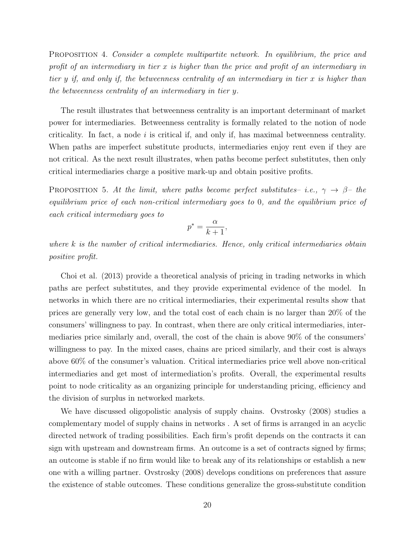PROPOSITION 4. Consider a complete multipartite network. In equilibrium, the price and profit of an intermediary in tier x is higher than the price and profit of an intermediary in tier y if, and only if, the betweenness centrality of an intermediary in tier x is higher than the betweenness centrality of an intermediary in tier y.

The result illustrates that betweenness centrality is an important determinant of market power for intermediaries. Betweenness centrality is formally related to the notion of node criticality. In fact, a node i is critical if, and only if, has maximal betweenness centrality. When paths are imperfect substitute products, intermediaries enjoy rent even if they are not critical. As the next result illustrates, when paths become perfect substitutes, then only critical intermediaries charge a positive mark-up and obtain positive profits.

PROPOSITION 5. At the limit, where paths become perfect substitutes– i.e.,  $\gamma \rightarrow \beta$ – the equilibrium price of each non-critical intermediary goes to 0, and the equilibrium price of each critical intermediary goes to

$$
p^* = \frac{\alpha}{k+1},
$$

where k is the number of critical intermediaries. Hence, only critical intermediaries obtain positive profit.

Choi et al. (2013) provide a theoretical analysis of pricing in trading networks in which paths are perfect substitutes, and they provide experimental evidence of the model. In networks in which there are no critical intermediaries, their experimental results show that prices are generally very low, and the total cost of each chain is no larger than 20% of the consumers' willingness to pay. In contrast, when there are only critical intermediaries, intermediaries price similarly and, overall, the cost of the chain is above 90% of the consumers' willingness to pay. In the mixed cases, chains are priced similarly, and their cost is always above 60% of the consumer's valuation. Critical intermediaries price well above non-critical intermediaries and get most of intermediation's profits. Overall, the experimental results point to node criticality as an organizing principle for understanding pricing, efficiency and the division of surplus in networked markets.

We have discussed oligopolistic analysis of supply chains. Ovstrosky (2008) studies a complementary model of supply chains in networks . A set of firms is arranged in an acyclic directed network of trading possibilities. Each firm's profit depends on the contracts it can sign with upstream and downstream firms. An outcome is a set of contracts signed by firms; an outcome is stable if no firm would like to break any of its relationships or establish a new one with a willing partner. Ovstrosky (2008) develops conditions on preferences that assure the existence of stable outcomes. These conditions generalize the gross-substitute condition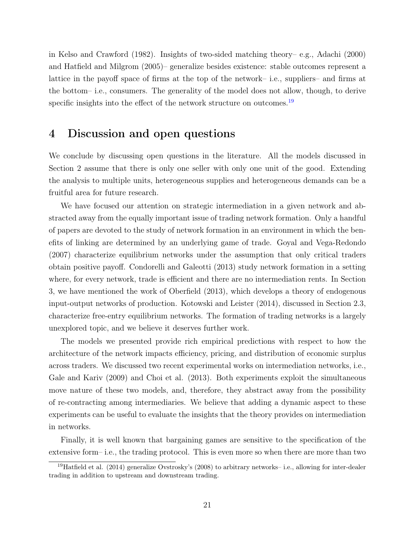in Kelso and Crawford (1982). Insights of two-sided matching theory– e.g., Adachi (2000) and Hatfield and Milgrom (2005)– generalize besides existence: stable outcomes represent a lattice in the payoff space of firms at the top of the network– i.e., suppliers– and firms at the bottom– i.e., consumers. The generality of the model does not allow, though, to derive specific insights into the effect of the network structure on outcomes.<sup>[19](#page-20-0)</sup>

## 4 Discussion and open questions

We conclude by discussing open questions in the literature. All the models discussed in Section 2 assume that there is only one seller with only one unit of the good. Extending the analysis to multiple units, heterogeneous supplies and heterogeneous demands can be a fruitful area for future research.

We have focused our attention on strategic intermediation in a given network and abstracted away from the equally important issue of trading network formation. Only a handful of papers are devoted to the study of network formation in an environment in which the benefits of linking are determined by an underlying game of trade. Goyal and Vega-Redondo (2007) characterize equilibrium networks under the assumption that only critical traders obtain positive payoff. Condorelli and Galeotti (2013) study network formation in a setting where, for every network, trade is efficient and there are no intermediation rents. In Section 3, we have mentioned the work of Oberfield (2013), which develops a theory of endogenous input-output networks of production. Kotowski and Leister (2014), discussed in Section 2.3, characterize free-entry equilibrium networks. The formation of trading networks is a largely unexplored topic, and we believe it deserves further work.

The models we presented provide rich empirical predictions with respect to how the architecture of the network impacts efficiency, pricing, and distribution of economic surplus across traders. We discussed two recent experimental works on intermediation networks, i.e., Gale and Kariv (2009) and Choi et al. (2013). Both experiments exploit the simultaneous move nature of these two models, and, therefore, they abstract away from the possibility of re-contracting among intermediaries. We believe that adding a dynamic aspect to these experiments can be useful to evaluate the insights that the theory provides on intermediation in networks.

Finally, it is well known that bargaining games are sensitive to the specification of the extensive form– i.e., the trading protocol. This is even more so when there are more than two

<span id="page-20-0"></span><sup>19</sup>Hatfield et al. (2014) generalize Ovstrosky's (2008) to arbitrary networks– i.e., allowing for inter-dealer trading in addition to upstream and downstream trading.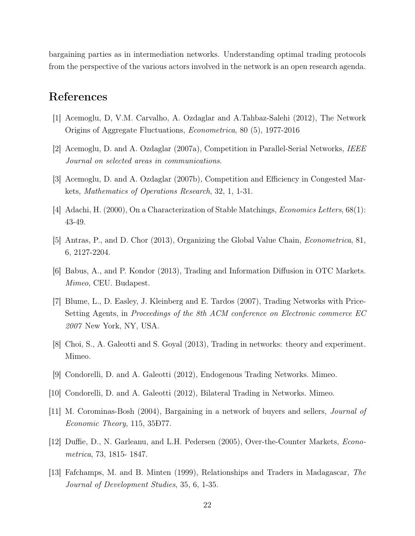bargaining parties as in intermediation networks. Understanding optimal trading protocols from the perspective of the various actors involved in the network is an open research agenda.

## References

- [1] Acemoglu, D, V.M. Carvalho, A. Ozdaglar and A.Tahbaz-Salehi (2012), The Network Origins of Aggregate Fluctuations, Econometrica, 80 (5), 1977-2016
- [2] Acemoglu, D. and A. Ozdaglar (2007a), Competition in Parallel-Serial Networks, IEEE Journal on selected areas in communications.
- [3] Acemoglu, D. and A. Ozdaglar (2007b), Competition and Efficiency in Congested Markets, Mathematics of Operations Research, 32, 1, 1-31.
- [4] Adachi, H. (2000), On a Characterization of Stable Matchings, Economics Letters, 68(1): 43-49.
- [5] Antras, P., and D. Chor (2013), Organizing the Global Value Chain, Econometrica, 81, 6, 2127-2204.
- [6] Babus, A., and P. Kondor (2013), Trading and Information Diffusion in OTC Markets. Mimeo, CEU. Budapest.
- [7] Blume, L., D. Easley, J. Kleinberg and E. Tardos (2007), Trading Networks with Price-Setting Agents, in *Proceedings of the 8th ACM conference on Electronic commerce EC* 2007 New York, NY, USA.
- [8] Choi, S., A. Galeotti and S. Goyal (2013), Trading in networks: theory and experiment. Mimeo.
- [9] Condorelli, D. and A. Galeotti (2012), Endogenous Trading Networks. Mimeo.
- [10] Condorelli, D. and A. Galeotti (2012), Bilateral Trading in Networks. Mimeo.
- [11] M. Corominas-Bosh (2004), Bargaining in a network of buyers and sellers, Journal of Economic Theory, 115, 35Ð77.
- [12] Duffie, D., N. Garleanu, and L.H. Pedersen (2005), Over-the-Counter Markets, Econometrica, 73, 1815- 1847.
- [13] Fafchamps, M. and B. Minten (1999), Relationships and Traders in Madagascar, The Journal of Development Studies, 35, 6, 1-35.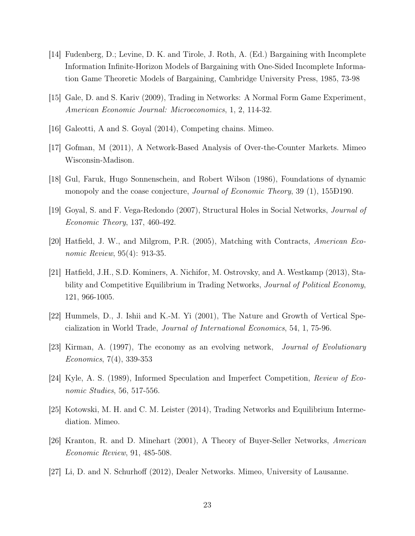- [14] Fudenberg, D.; Levine, D. K. and Tirole, J. Roth, A. (Ed.) Bargaining with Incomplete Information Infinite-Horizon Models of Bargaining with One-Sided Incomplete Information Game Theoretic Models of Bargaining, Cambridge University Press, 1985, 73-98
- [15] Gale, D. and S. Kariv (2009), Trading in Networks: A Normal Form Game Experiment, American Economic Journal: Microeconomics, 1, 2, 114-32.
- [16] Galeotti, A and S. Goyal (2014), Competing chains. Mimeo.
- [17] Gofman, M (2011), A Network-Based Analysis of Over-the-Counter Markets. Mimeo Wisconsin-Madison.
- [18] Gul, Faruk, Hugo Sonnenschein, and Robert Wilson (1986), Foundations of dynamic monopoly and the coase conjecture, *Journal of Economic Theory*, 39 (1), 155D190.
- [19] Goyal, S. and F. Vega-Redondo (2007), Structural Holes in Social Networks, Journal of Economic Theory, 137, 460-492.
- [20] Hatfield, J. W., and Milgrom, P.R. (2005), Matching with Contracts, American Economic Review, 95(4): 913-35.
- [21] Hatfield, J.H., S.D. Kominers, A. Nichifor, M. Ostrovsky, and A. Westkamp (2013), Stability and Competitive Equilibrium in Trading Networks, *Journal of Political Economy*, 121, 966-1005.
- [22] Hummels, D., J. Ishii and K.-M. Yi (2001), The Nature and Growth of Vertical Specialization in World Trade, Journal of International Economics, 54, 1, 75-96.
- [23] Kirman, A. (1997), The economy as an evolving network, Journal of Evolutionary Economics, 7(4), 339-353
- [24] Kyle, A. S. (1989), Informed Speculation and Imperfect Competition, Review of Economic Studies, 56, 517-556.
- [25] Kotowski, M. H. and C. M. Leister (2014), Trading Networks and Equilibrium Intermediation. Mimeo.
- [26] Kranton, R. and D. Minehart (2001), A Theory of Buyer-Seller Networks, American Economic Review, 91, 485-508.
- [27] Li, D. and N. Schurhoff (2012), Dealer Networks. Mimeo, University of Lausanne.